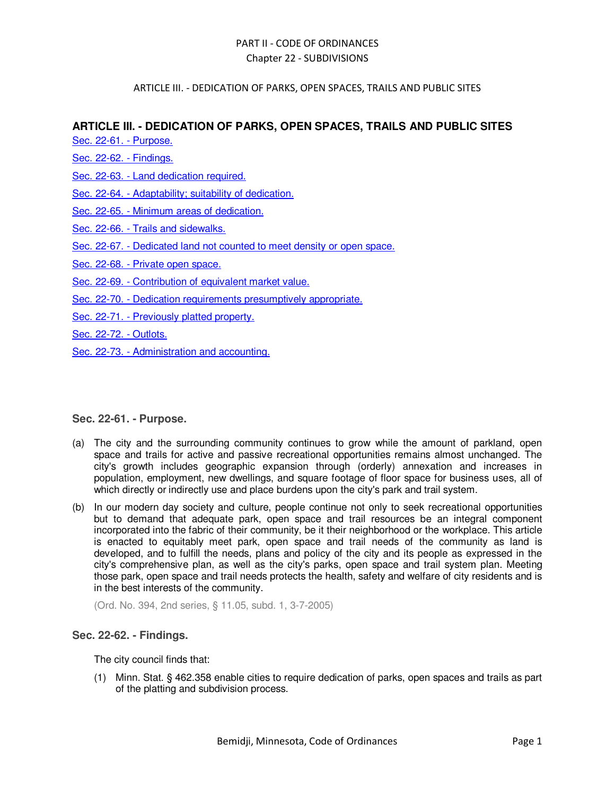### ARTICLE III. - DEDICATION OF PARKS, OPEN SPACES, TRAILS AND PUBLIC SITES

# **ARTICLE III. - DEDICATION OF PARKS, OPEN SPACES, TRAILS AND PUBLIC SITES**

Sec. 22-61. - Purpose.

- Sec. 22-62. Findings.
- Sec. 22-63. Land dedication required.
- Sec. 22-64. Adaptability; suitability of dedication.
- Sec. 22-65. Minimum areas of dedication.
- Sec. 22-66. Trails and sidewalks.
- Sec. 22-67. Dedicated land not counted to meet density or open space.
- Sec. 22-68. Private open space.
- Sec. 22-69. Contribution of equivalent market value.
- Sec. 22-70. Dedication requirements presumptively appropriate.
- Sec. 22-71. Previously platted property.
- Sec. 22-72. Outlots.
- Sec. 22-73. Administration and accounting.

# **Sec. 22-61. - Purpose.**

- (a) The city and the surrounding community continues to grow while the amount of parkland, open space and trails for active and passive recreational opportunities remains almost unchanged. The city's growth includes geographic expansion through (orderly) annexation and increases in population, employment, new dwellings, and square footage of floor space for business uses, all of which directly or indirectly use and place burdens upon the city's park and trail system.
- (b) In our modern day society and culture, people continue not only to seek recreational opportunities but to demand that adequate park, open space and trail resources be an integral component incorporated into the fabric of their community, be it their neighborhood or the workplace. This article is enacted to equitably meet park, open space and trail needs of the community as land is developed, and to fulfill the needs, plans and policy of the city and its people as expressed in the city's comprehensive plan, as well as the city's parks, open space and trail system plan. Meeting those park, open space and trail needs protects the health, safety and welfare of city residents and is in the best interests of the community.

(Ord. No. 394, 2nd series, § 11.05, subd. 1, 3-7-2005)

# **Sec. 22-62. - Findings.**

The city council finds that:

(1) Minn. Stat. § 462.358 enable cities to require dedication of parks, open spaces and trails as part of the platting and subdivision process.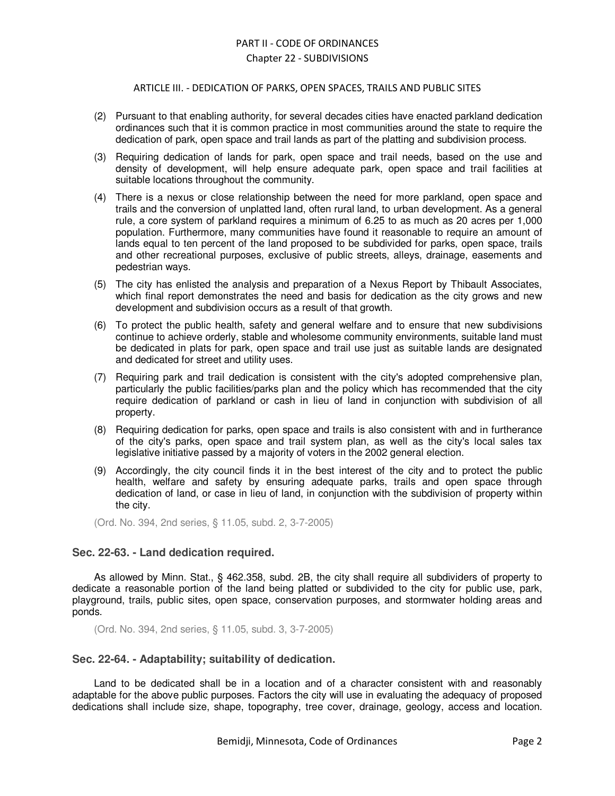#### ARTICLE III. - DEDICATION OF PARKS, OPEN SPACES, TRAILS AND PUBLIC SITES

- (2) Pursuant to that enabling authority, for several decades cities have enacted parkland dedication ordinances such that it is common practice in most communities around the state to require the dedication of park, open space and trail lands as part of the platting and subdivision process.
- (3) Requiring dedication of lands for park, open space and trail needs, based on the use and density of development, will help ensure adequate park, open space and trail facilities at suitable locations throughout the community.
- (4) There is a nexus or close relationship between the need for more parkland, open space and trails and the conversion of unplatted land, often rural land, to urban development. As a general rule, a core system of parkland requires a minimum of 6.25 to as much as 20 acres per 1,000 population. Furthermore, many communities have found it reasonable to require an amount of lands equal to ten percent of the land proposed to be subdivided for parks, open space, trails and other recreational purposes, exclusive of public streets, alleys, drainage, easements and pedestrian ways.
- (5) The city has enlisted the analysis and preparation of a Nexus Report by Thibault Associates, which final report demonstrates the need and basis for dedication as the city grows and new development and subdivision occurs as a result of that growth.
- (6) To protect the public health, safety and general welfare and to ensure that new subdivisions continue to achieve orderly, stable and wholesome community environments, suitable land must be dedicated in plats for park, open space and trail use just as suitable lands are designated and dedicated for street and utility uses.
- (7) Requiring park and trail dedication is consistent with the city's adopted comprehensive plan, particularly the public facilities/parks plan and the policy which has recommended that the city require dedication of parkland or cash in lieu of land in conjunction with subdivision of all property.
- (8) Requiring dedication for parks, open space and trails is also consistent with and in furtherance of the city's parks, open space and trail system plan, as well as the city's local sales tax legislative initiative passed by a majority of voters in the 2002 general election.
- (9) Accordingly, the city council finds it in the best interest of the city and to protect the public health, welfare and safety by ensuring adequate parks, trails and open space through dedication of land, or case in lieu of land, in conjunction with the subdivision of property within the city.

(Ord. No. 394, 2nd series, § 11.05, subd. 2, 3-7-2005)

#### **Sec. 22-63. - Land dedication required.**

As allowed by Minn. Stat., § 462.358, subd. 2B, the city shall require all subdividers of property to dedicate a reasonable portion of the land being platted or subdivided to the city for public use, park, playground, trails, public sites, open space, conservation purposes, and stormwater holding areas and ponds.

(Ord. No. 394, 2nd series, § 11.05, subd. 3, 3-7-2005)

#### **Sec. 22-64. - Adaptability; suitability of dedication.**

Land to be dedicated shall be in a location and of a character consistent with and reasonably adaptable for the above public purposes. Factors the city will use in evaluating the adequacy of proposed dedications shall include size, shape, topography, tree cover, drainage, geology, access and location.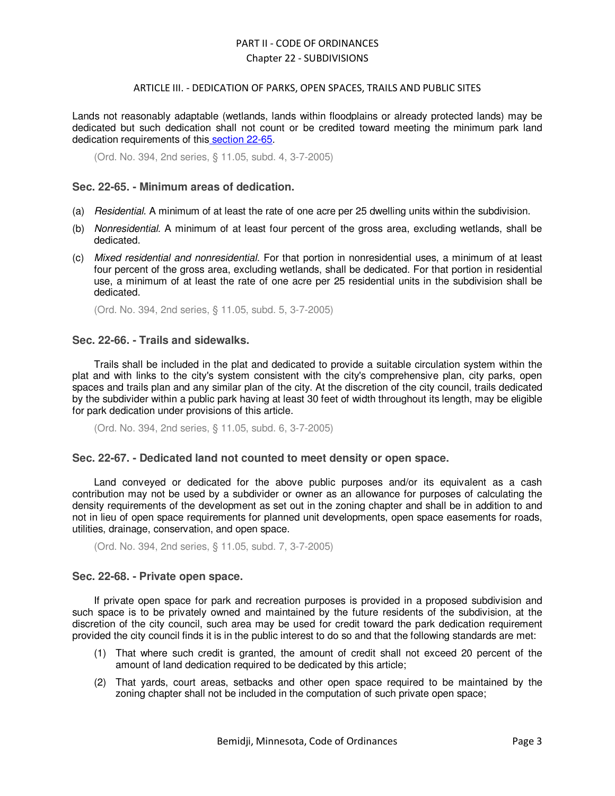#### ARTICLE III. - DEDICATION OF PARKS, OPEN SPACES, TRAILS AND PUBLIC SITES

Lands not reasonably adaptable (wetlands, lands within floodplains or already protected lands) may be dedicated but such dedication shall not count or be credited toward meeting the minimum park land dedication requirements of this section 22-65.

(Ord. No. 394, 2nd series, § 11.05, subd. 4, 3-7-2005)

### **Sec. 22-65. - Minimum areas of dedication.**

- (a) Residential. A minimum of at least the rate of one acre per 25 dwelling units within the subdivision.
- (b) Nonresidential. A minimum of at least four percent of the gross area, excluding wetlands, shall be dedicated.
- (c) Mixed residential and nonresidential. For that portion in nonresidential uses, a minimum of at least four percent of the gross area, excluding wetlands, shall be dedicated. For that portion in residential use, a minimum of at least the rate of one acre per 25 residential units in the subdivision shall be dedicated.

(Ord. No. 394, 2nd series, § 11.05, subd. 5, 3-7-2005)

#### **Sec. 22-66. - Trails and sidewalks.**

Trails shall be included in the plat and dedicated to provide a suitable circulation system within the plat and with links to the city's system consistent with the city's comprehensive plan, city parks, open spaces and trails plan and any similar plan of the city. At the discretion of the city council, trails dedicated by the subdivider within a public park having at least 30 feet of width throughout its length, may be eligible for park dedication under provisions of this article.

(Ord. No. 394, 2nd series, § 11.05, subd. 6, 3-7-2005)

#### **Sec. 22-67. - Dedicated land not counted to meet density or open space.**

Land conveyed or dedicated for the above public purposes and/or its equivalent as a cash contribution may not be used by a subdivider or owner as an allowance for purposes of calculating the density requirements of the development as set out in the zoning chapter and shall be in addition to and not in lieu of open space requirements for planned unit developments, open space easements for roads, utilities, drainage, conservation, and open space.

(Ord. No. 394, 2nd series, § 11.05, subd. 7, 3-7-2005)

#### **Sec. 22-68. - Private open space.**

If private open space for park and recreation purposes is provided in a proposed subdivision and such space is to be privately owned and maintained by the future residents of the subdivision, at the discretion of the city council, such area may be used for credit toward the park dedication requirement provided the city council finds it is in the public interest to do so and that the following standards are met:

- (1) That where such credit is granted, the amount of credit shall not exceed 20 percent of the amount of land dedication required to be dedicated by this article;
- (2) That yards, court areas, setbacks and other open space required to be maintained by the zoning chapter shall not be included in the computation of such private open space;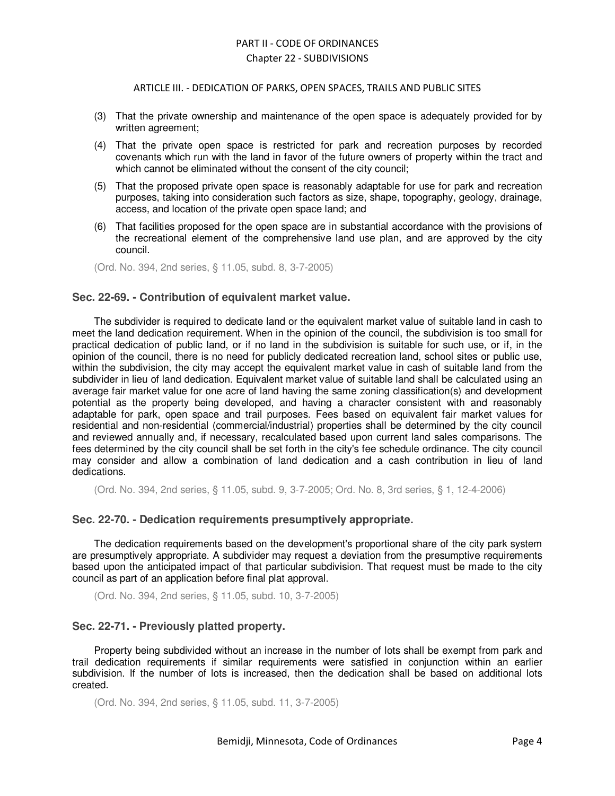#### ARTICLE III. - DEDICATION OF PARKS, OPEN SPACES, TRAILS AND PUBLIC SITES

- (3) That the private ownership and maintenance of the open space is adequately provided for by written agreement;
- (4) That the private open space is restricted for park and recreation purposes by recorded covenants which run with the land in favor of the future owners of property within the tract and which cannot be eliminated without the consent of the city council;
- (5) That the proposed private open space is reasonably adaptable for use for park and recreation purposes, taking into consideration such factors as size, shape, topography, geology, drainage, access, and location of the private open space land; and
- (6) That facilities proposed for the open space are in substantial accordance with the provisions of the recreational element of the comprehensive land use plan, and are approved by the city council.

(Ord. No. 394, 2nd series, § 11.05, subd. 8, 3-7-2005)

### **Sec. 22-69. - Contribution of equivalent market value.**

The subdivider is required to dedicate land or the equivalent market value of suitable land in cash to meet the land dedication requirement. When in the opinion of the council, the subdivision is too small for practical dedication of public land, or if no land in the subdivision is suitable for such use, or if, in the opinion of the council, there is no need for publicly dedicated recreation land, school sites or public use, within the subdivision, the city may accept the equivalent market value in cash of suitable land from the subdivider in lieu of land dedication. Equivalent market value of suitable land shall be calculated using an average fair market value for one acre of land having the same zoning classification(s) and development potential as the property being developed, and having a character consistent with and reasonably adaptable for park, open space and trail purposes. Fees based on equivalent fair market values for residential and non-residential (commercial/industrial) properties shall be determined by the city council and reviewed annually and, if necessary, recalculated based upon current land sales comparisons. The fees determined by the city council shall be set forth in the city's fee schedule ordinance. The city council may consider and allow a combination of land dedication and a cash contribution in lieu of land dedications.

(Ord. No. 394, 2nd series, § 11.05, subd. 9, 3-7-2005; Ord. No. 8, 3rd series, § 1, 12-4-2006)

#### **Sec. 22-70. - Dedication requirements presumptively appropriate.**

The dedication requirements based on the development's proportional share of the city park system are presumptively appropriate. A subdivider may request a deviation from the presumptive requirements based upon the anticipated impact of that particular subdivision. That request must be made to the city council as part of an application before final plat approval.

(Ord. No. 394, 2nd series, § 11.05, subd. 10, 3-7-2005)

#### **Sec. 22-71. - Previously platted property.**

Property being subdivided without an increase in the number of lots shall be exempt from park and trail dedication requirements if similar requirements were satisfied in conjunction within an earlier subdivision. If the number of lots is increased, then the dedication shall be based on additional lots created.

(Ord. No. 394, 2nd series, § 11.05, subd. 11, 3-7-2005)